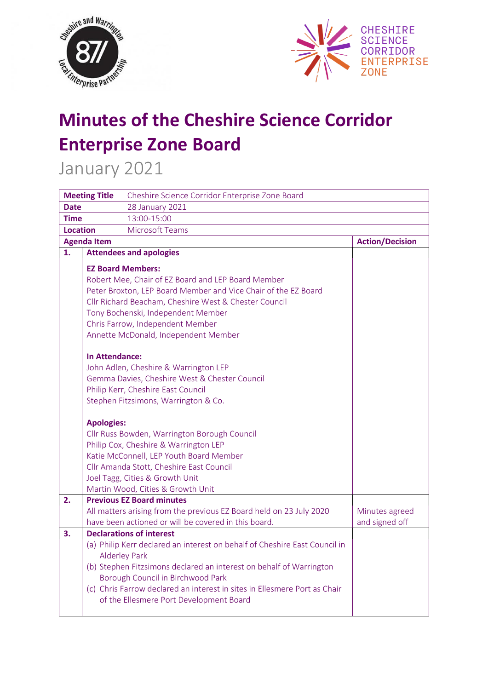



## **Minutes of the Cheshire Science Corridor Enterprise Zone Board**

January 2021

| <b>Meeting Title</b> |                                                                | Cheshire Science Corridor Enterprise Zone Board                                                    |                        |  |
|----------------------|----------------------------------------------------------------|----------------------------------------------------------------------------------------------------|------------------------|--|
| <b>Date</b>          |                                                                | <b>28 January 2021</b>                                                                             |                        |  |
| <b>Time</b>          |                                                                | 13:00-15:00                                                                                        |                        |  |
| <b>Location</b>      |                                                                |                                                                                                    |                        |  |
| <b>Agenda Item</b>   |                                                                |                                                                                                    | <b>Action/Decision</b> |  |
| 1.                   |                                                                | <b>Attendees and apologies</b>                                                                     |                        |  |
|                      |                                                                | <b>EZ Board Members:</b><br>Robert Mee, Chair of EZ Board and LEP Board Member                     |                        |  |
|                      | Peter Broxton, LEP Board Member and Vice Chair of the EZ Board |                                                                                                    |                        |  |
|                      | Cllr Richard Beacham, Cheshire West & Chester Council          |                                                                                                    |                        |  |
|                      | Tony Bochenski, Independent Member                             |                                                                                                    |                        |  |
|                      | Chris Farrow, Independent Member                               |                                                                                                    |                        |  |
|                      | Annette McDonald, Independent Member                           |                                                                                                    |                        |  |
|                      | <b>In Attendance:</b>                                          |                                                                                                    |                        |  |
|                      | John Adlen, Cheshire & Warrington LEP                          |                                                                                                    |                        |  |
|                      | Gemma Davies, Cheshire West & Chester Council                  |                                                                                                    |                        |  |
|                      |                                                                | Philip Kerr, Cheshire East Council                                                                 |                        |  |
|                      |                                                                | Stephen Fitzsimons, Warrington & Co.                                                               |                        |  |
|                      | <b>Apologies:</b>                                              |                                                                                                    |                        |  |
|                      | Cllr Russ Bowden, Warrington Borough Council                   |                                                                                                    |                        |  |
|                      |                                                                | Philip Cox, Cheshire & Warrington LEP                                                              |                        |  |
|                      | Katie McConnell, LEP Youth Board Member                        |                                                                                                    |                        |  |
|                      |                                                                | Cllr Amanda Stott, Cheshire East Council                                                           |                        |  |
|                      |                                                                | Joel Tagg, Cities & Growth Unit                                                                    |                        |  |
|                      |                                                                | Martin Wood, Cities & Growth Unit                                                                  |                        |  |
| 2.                   |                                                                | <b>Previous EZ Board minutes</b>                                                                   |                        |  |
|                      |                                                                | All matters arising from the previous EZ Board held on 23 July 2020                                | Minutes agreed         |  |
|                      |                                                                | have been actioned or will be covered in this board.                                               | and signed off         |  |
| 3.                   |                                                                | <b>Declarations of interest</b>                                                                    |                        |  |
|                      |                                                                | (a) Philip Kerr declared an interest on behalf of Cheshire East Council in<br><b>Alderley Park</b> |                        |  |
|                      |                                                                | (b) Stephen Fitzsimons declared an interest on behalf of Warrington                                |                        |  |
|                      |                                                                | Borough Council in Birchwood Park                                                                  |                        |  |
|                      |                                                                | (c) Chris Farrow declared an interest in sites in Ellesmere Port as Chair                          |                        |  |
|                      |                                                                | of the Ellesmere Port Development Board                                                            |                        |  |
|                      |                                                                |                                                                                                    |                        |  |